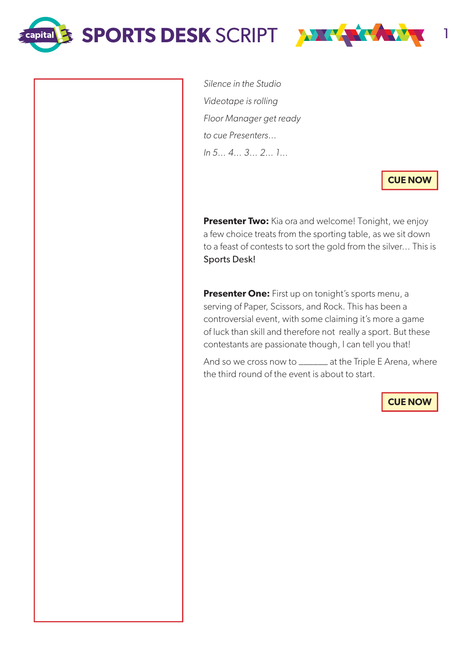SPORTS DESK SCRIPT **THE LATER WAL** 

**capital** 



Silence in the Studio Videotape is rolling Floor Manager get ready to cue Presenters… In 5… 4… 3… 2… 1…

**CUE NOW**

**Presenter Two:** Kia ora and welcome! Tonight, we enjoy a few choice treats from the sporting table, as we sit down to a feast of contests to sort the gold from the silver… This is Sports Desk!

**Presenter One:** First up on tonight's sports menu, a serving of Paper, Scissors, and Rock. This has been a controversial event, with some claiming it's more a game of luck than skill and therefore not really a sport. But these contestants are passionate though, I can tell you that!

And so we cross now to \_\_\_\_\_\_ at the Triple E Arena, where the third round of the event is about to start.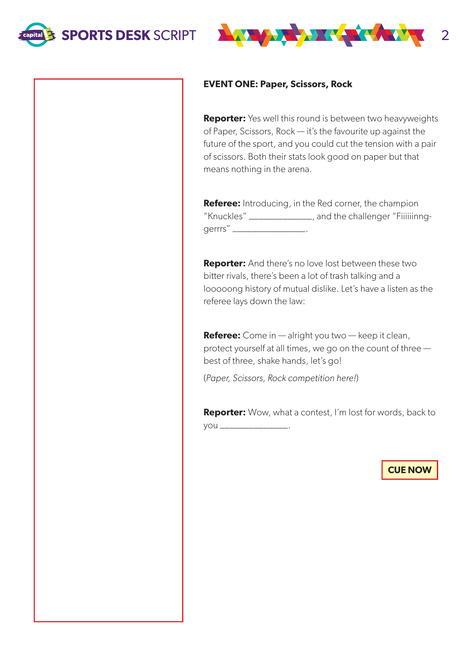



#### **EVENT ONE: Paper, Scissors, Rock**

**Reporter:** Yes well this round is between two heavyweights of Paper, Scissors, Rock — it's the favourite up against the future of the sport, and you could cut the tension with a pair of scissors. Both their stats look good on paper but that means nothing in the arena.

**Referee:** Introducing, in the Red corner, the champion "Knuckles" \_\_\_\_\_\_\_\_\_\_\_\_\_, and the challenger "Fiiiiiinnggerrrs" \_\_\_\_\_\_\_\_\_\_\_\_\_\_

**Reporter:** And there's no love lost between these two bitter rivals, there's been a lot of trash talking and a looooong history of mutual dislike. Let's have a listen as the referee lays down the law:

**Referee:** Come in — alright you two — keep it clean, protect yourself at all times, we go on the count of three best of three, shake hands, let's go!

(Paper, Scissors, Rock competition here!)

**Reporter:** Wow, what a contest, I'm lost for words, back to you \_\_\_\_\_\_\_\_\_\_\_\_\_\_.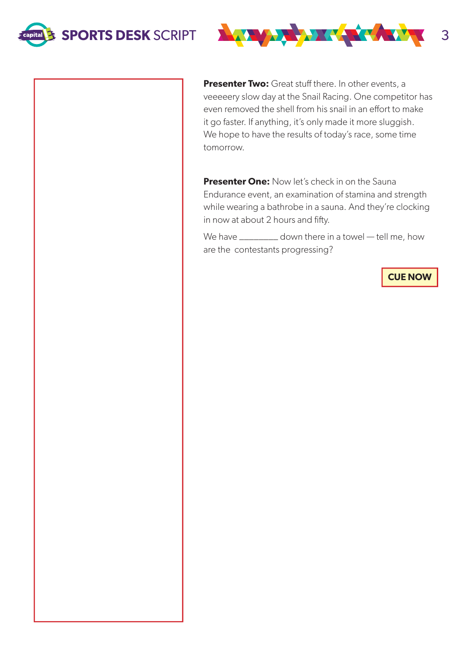



**Presenter Two:** Great stuff there. In other events, a veeeeery slow day at the Snail Racing. One competitor has even removed the shell from his snail in an effort to make it go faster. If anything, it's only made it more sluggish. We hope to have the results of today's race, some time tomorrow.

**Presenter One:** Now let's check in on the Sauna Endurance event, an examination of stamina and strength while wearing a bathrobe in a sauna. And they're clocking in now at about 2 hours and fifty.

We have \_\_\_\_\_\_\_\_\_ down there in a towel — tell me, how are the contestants progressing?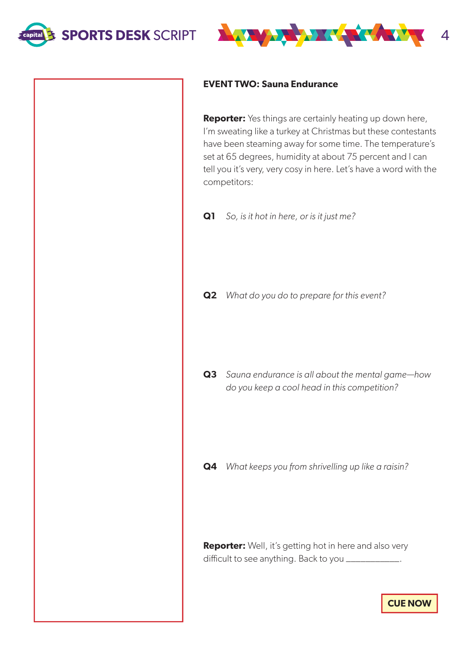



#### **EVENT TWO: Sauna Endurance**

**Reporter:** Yes things are certainly heating up down here, I'm sweating like a turkey at Christmas but these contestants have been steaming away for some time. The temperature's set at 65 degrees, humidity at about 75 percent and I can tell you it's very, very cosy in here. Let's have a word with the competitors:

**Q1** So, is it hot in here, or is it just me?

**Q2** What do you do to prepare for this event?

**Q3** Sauna endurance is all about the mental game—how do you keep a cool head in this competition?

**Q4** What keeps you from shrivelling up like a raisin?

**Reporter:** Well, it's getting hot in here and also very difficult to see anything. Back to you \_\_\_\_\_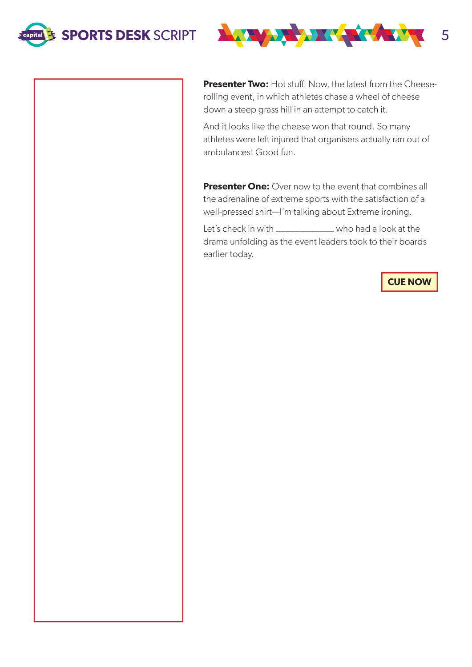



**Presenter Two:** Hot stuff. Now, the latest from the Cheeserolling event, in which athletes chase a wheel of cheese down a steep grass hill in an attempt to catch it.

And it looks like the cheese won that round. So many athletes were left injured that organisers actually ran out of ambulances! Good fun.

**Presenter One:** Over now to the event that combines all the adrenaline of extreme sports with the satisfaction of a well-pressed shirt—I'm talking about Extreme ironing.

Let's check in with \_\_\_\_\_\_\_\_\_\_\_\_\_\_ who had a look at the drama unfolding as the event leaders took to their boards earlier today.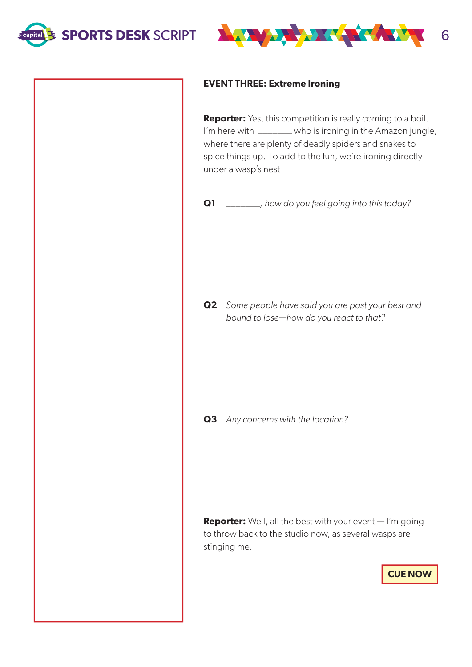



## **EVENT THREE: Extreme Ironing**

**Reporter:** Yes, this competition is really coming to a boil. I'm here with \_\_\_\_\_\_\_ who is ironing in the Amazon jungle, where there are plenty of deadly spiders and snakes to spice things up. To add to the fun, we're ironing directly under a wasp's nest

```
Q1 _______, how do you feel going into this today?
```
**Q2** Some people have said you are past your best and bound to lose—how do you react to that?

**Q3** Any concerns with the location?

**Reporter:** Well, all the best with your event — I'm going to throw back to the studio now, as several wasps are stinging me.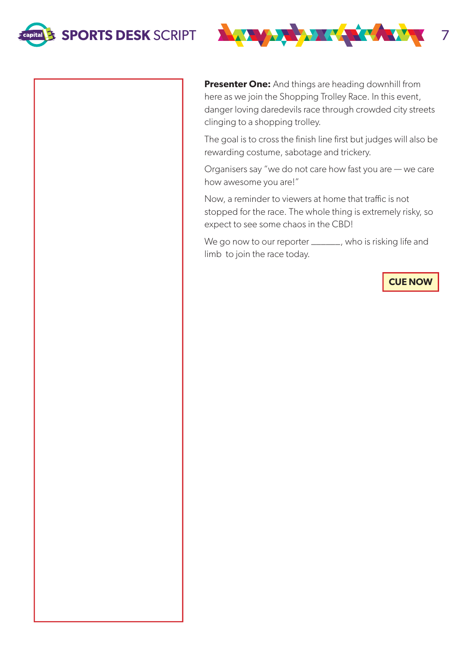



**Presenter One:** And things are heading downhill from here as we join the Shopping Trolley Race. In this event, danger loving daredevils race through crowded city streets clinging to a shopping trolley.

The goal is to cross the finish line first but judges will also be rewarding costume, sabotage and trickery.

Organisers say "we do not care how fast you are — we care how awesome you are!"

Now, a reminder to viewers at home that traffic is not stopped for the race. The whole thing is extremely risky, so expect to see some chaos in the CBD!

We go now to our reporter \_\_\_\_\_\_, who is risking life and limb to join the race today.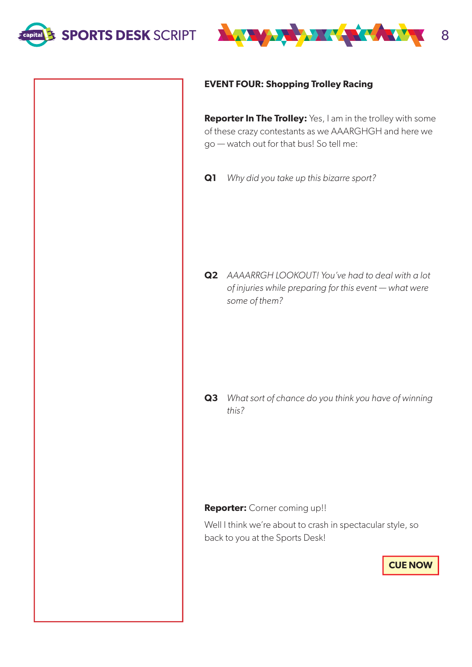



## **EVENT FOUR: Shopping Trolley Racing**

**Reporter In The Trolley:** Yes, I am in the trolley with some of these crazy contestants as we AAARGHGH and here we go — watch out for that bus! So tell me:

**Q1** Why did you take up this bizarre sport?

**Q2** AAAARRGH LOOKOUT! You've had to deal with a lot of injuries while preparing for this event — what were some of them?

**Q3** What sort of chance do you think you have of winning this?

**Reporter:** Corner coming up!!

Well I think we're about to crash in spectacular style, so back to you at the Sports Desk!

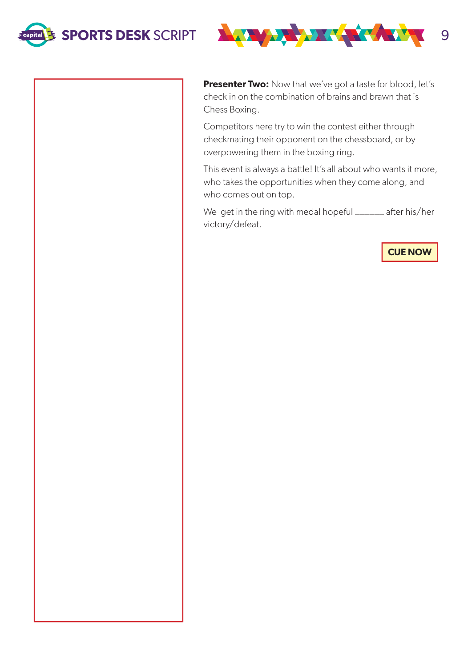



**Presenter Two:** Now that we've got a taste for blood, let's check in on the combination of brains and brawn that is Chess Boxing.

Competitors here try to win the contest either through checkmating their opponent on the chessboard, or by overpowering them in the boxing ring.

This event is always a battle! It's all about who wants it more, who takes the opportunities when they come along, and who comes out on top.

We get in the ring with medal hopeful \_\_\_\_\_\_ after his/her victory/defeat.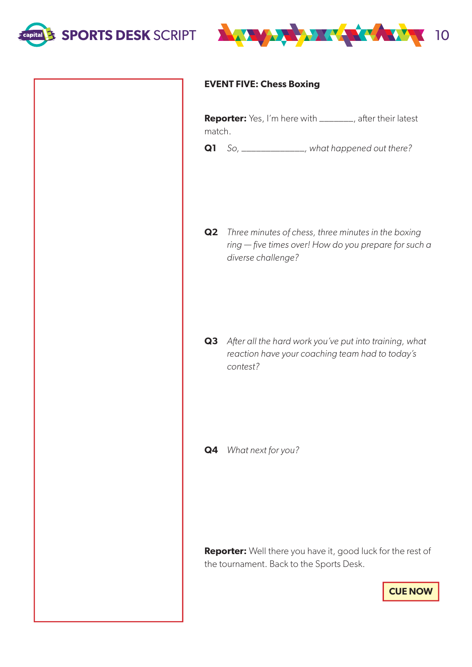



## **EVENT FIVE: Chess Boxing**

**Reporter:** Yes, I'm here with \_\_\_\_\_\_\_, after their latest match.

**Q1** So, \_\_\_\_\_\_\_\_\_\_\_\_\_, what happened out there?

**Q2** Three minutes of chess, three minutes in the boxing ring — five times over! How do you prepare for such a diverse challenge?

**Q3** After all the hard work you've put into training, what reaction have your coaching team had to today's contest?

**Q4** What next for you?

**Reporter:** Well there you have it, good luck for the rest of the tournament. Back to the Sports Desk.